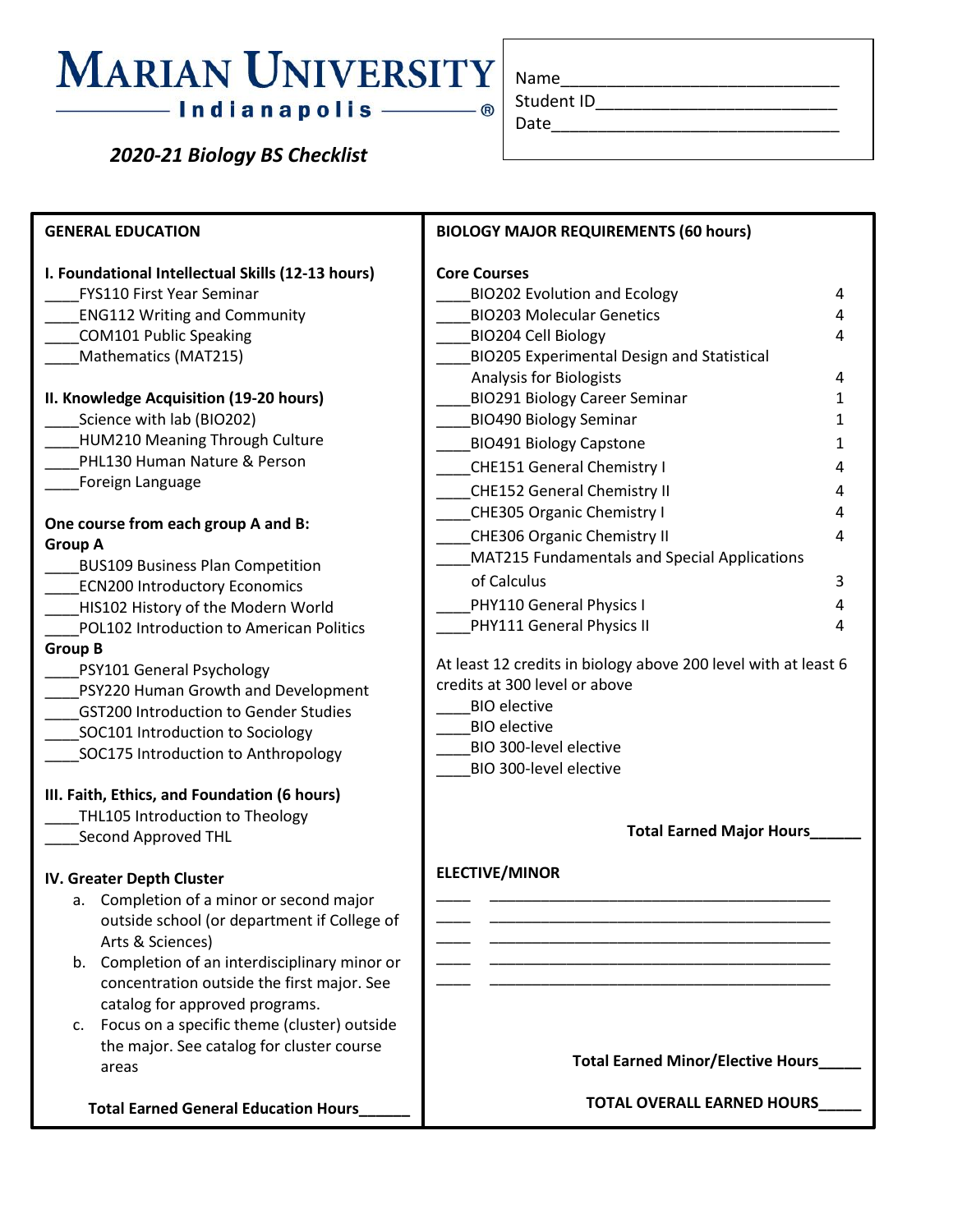## **MARIAN UNIVERSITY** —— Indianapolis ——

 *2020-21 Biology BS Checklist*

| Name       |  |  |
|------------|--|--|
| Student ID |  |  |

Date

**GENERAL EDUCATION I. Foundational Intellectual Skills (12-13 hours)** \_\_\_\_FYS110 First Year Seminar \_\_\_\_ENG112 Writing and Community \_\_\_\_COM101 Public Speaking Mathematics (MAT215) **II. Knowledge Acquisition (19-20 hours)** \_\_\_\_Science with lab (BIO202) \_\_\_\_HUM210 Meaning Through Culture PHL130 Human Nature & Person \_\_\_\_Foreign Language **One course from each group A and B: Group A** \_\_\_\_BUS109 Business Plan Competition ECN200 Introductory Economics HIS102 History of the Modern World \_\_\_\_POL102 Introduction to American Politics **Group B** \_\_\_\_PSY101 General Psychology \_\_\_\_PSY220 Human Growth and Development \_\_\_\_GST200 Introduction to Gender Studies SOC101 Introduction to Sociology SOC175 Introduction to Anthropology **III. Faith, Ethics, and Foundation (6 hours)** THL105 Introduction to Theology \_\_\_\_Second Approved THL **IV. Greater Depth Cluster** a. Completion of a minor or second major outside school (or department if College of Arts & Sciences) b. Completion of an interdisciplinary minor or concentration outside the first major. See catalog for approved programs. c. Focus on a specific theme (cluster) outside the major. See catalog for cluster course areas  **Total Earned General Education Hours\_\_\_\_\_\_ BIOLOGY MAJOR REQUIREMENTS (60 hours) Core Courses** BIO202 Evolution and Ecology 4 \_\_\_\_BIO203 Molecular Genetics 4 \_\_\_\_BIO204 Cell Biology 4 \_\_\_\_BIO205 Experimental Design and Statistical Analysis for Biologists 4 BIO291 Biology Career Seminar 1 **BIO490 Biology Seminar 1 1 Algebra** 1 Land Biology Capstone 1 \_\_\_\_CHE151 General Chemistry I 4 \_\_\_\_CHE152 General Chemistry II 4 \_\_\_\_CHE305 Organic Chemistry I 4 \_\_\_\_CHE306 Organic Chemistry II 4 \_\_\_\_MAT215 Fundamentals and Special Applications of Calculus 3 PHY110 General Physics I 4 PHY111 General Physics II 4 At least 12 credits in biology above 200 level with at least 6 credits at 300 level or above \_\_\_\_BIO elective \_\_\_\_BIO elective \_\_\_\_BIO 300-level elective \_\_\_\_BIO 300-level elective **Total Earned Major Hours\_\_\_\_\_\_ ELECTIVE/MINOR** \_\_\_\_ \_\_\_\_\_\_\_\_\_\_\_\_\_\_\_\_\_\_\_\_\_\_\_\_\_\_\_\_\_\_\_\_\_\_\_\_\_\_\_\_ \_\_\_\_ \_\_\_\_\_\_\_\_\_\_\_\_\_\_\_\_\_\_\_\_\_\_\_\_\_\_\_\_\_\_\_\_\_\_\_\_\_\_\_\_ \_\_\_\_ \_\_\_\_\_\_\_\_\_\_\_\_\_\_\_\_\_\_\_\_\_\_\_\_\_\_\_\_\_\_\_\_\_\_\_\_\_\_\_\_ \_\_\_\_ \_\_\_\_\_\_\_\_\_\_\_\_\_\_\_\_\_\_\_\_\_\_\_\_\_\_\_\_\_\_\_\_\_\_\_\_\_\_\_\_ \_\_\_\_ \_\_\_\_\_\_\_\_\_\_\_\_\_\_\_\_\_\_\_\_\_\_\_\_\_\_\_\_\_\_\_\_\_\_\_\_\_\_\_\_ **Total Earned Minor/Elective Hours\_\_\_\_\_ TOTAL OVERALL EARNED HOURS\_\_\_\_\_**